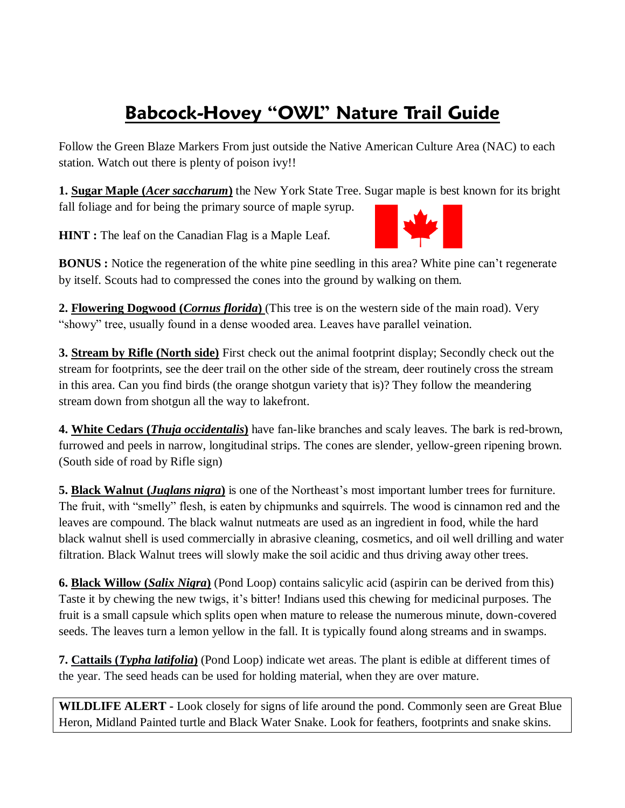## **Babcock-Hovey "OWL" Nature Trail Guide**

Follow the Green Blaze Markers From just outside the Native American Culture Area (NAC) to each station. Watch out there is plenty of poison ivy!!

**1. Sugar Maple (***Acer saccharum***)** the New York State Tree. Sugar maple is best known for its bright fall foliage and for being the primary source of maple syrup.

**HINT** : The leaf on the Canadian Flag is a Maple Leaf.



**2. Flowering Dogwood (***Cornus florida***)** (This tree is on the western side of the main road). Very "showy" tree, usually found in a dense wooded area. Leaves have parallel veination.

**3. Stream by Rifle (North side)** First check out the animal footprint display; Secondly check out the stream for footprints, see the deer trail on the other side of the stream, deer routinely cross the stream in this area. Can you find birds (the orange shotgun variety that is)? They follow the meandering stream down from shotgun all the way to lakefront.

**4. White Cedars (***Thuja occidentalis***)** have fan-like branches and scaly leaves. The bark is red-brown, furrowed and peels in narrow, longitudinal strips. The cones are slender, yellow-green ripening brown. (South side of road by Rifle sign)

**5. Black Walnut (***Juglans nigra***)** is one of the Northeast's most important lumber trees for furniture. The fruit, with "smelly" flesh, is eaten by chipmunks and squirrels. The wood is cinnamon red and the leaves are compound. The black walnut nutmeats are used as an ingredient in food, while the hard black walnut shell is used commercially in abrasive cleaning, cosmetics, and oil well drilling and water filtration. Black Walnut trees will slowly make the soil acidic and thus driving away other trees.

**6. Black Willow (***Salix Nigra***)** (Pond Loop) contains salicylic acid (aspirin can be derived from this) Taste it by chewing the new twigs, it's bitter! Indians used this chewing for medicinal purposes. The fruit is a small capsule which splits open when mature to release the numerous minute, down-covered seeds. The leaves turn a lemon yellow in the fall. It is typically found along streams and in swamps.

**7. Cattails (***Typha latifolia***)** (Pond Loop) indicate wet areas. The plant is edible at different times of the year. The seed heads can be used for holding material, when they are over mature.

**WILDLIFE ALERT -** Look closely for signs of life around the pond. Commonly seen are Great Blue Heron, Midland Painted turtle and Black Water Snake. Look for feathers, footprints and snake skins.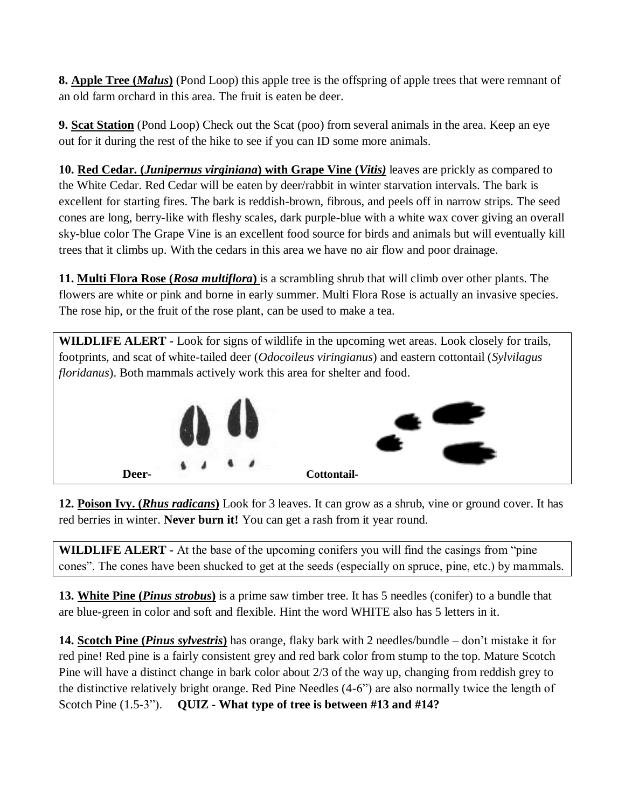**8. Apple Tree (***Malus***)** (Pond Loop) this apple tree is the offspring of apple trees that were remnant of an old farm orchard in this area. The fruit is eaten be deer.

**9. Scat Station** (Pond Loop) Check out the Scat (poo) from several animals in the area. Keep an eye out for it during the rest of the hike to see if you can ID some more animals.

**10. Red Cedar. (***Junipernus virginiana***) with Grape Vine (***Vitis)* leaves are prickly as compared to the White Cedar. Red Cedar will be eaten by deer/rabbit in winter starvation intervals. The bark is excellent for starting fires. The bark is reddish-brown, fibrous, and peels off in narrow strips. The seed cones are long, berry-like with fleshy scales, dark purple-blue with a white wax cover giving an overall sky-blue color The Grape Vine is an excellent food source for birds and animals but will eventually kill trees that it climbs up. With the cedars in this area we have no air flow and poor drainage.

**11. Multi Flora Rose (***Rosa multiflora***)** is a scrambling shrub that will climb over other plants. The flowers are white or pink and borne in early summer. Multi Flora Rose is actually an invasive species. The rose hip, or the fruit of the rose plant, can be used to make a tea.

**WILDLIFE ALERT -** Look for signs of wildlife in the upcoming wet areas. Look closely for trails, footprints, and scat of white-tailed deer (*Odocoileus viringianus*) and eastern cottontail (*Sylvilagus floridanus*). Both mammals actively work this area for shelter and food.



**12. Poison Ivy. (***Rhus radicans***)** Look for 3 leaves. It can grow as a shrub, vine or ground cover. It has red berries in winter. **Never burn it!** You can get a rash from it year round.

**WILDLIFE ALERT -** At the base of the upcoming conifers you will find the casings from "pine cones". The cones have been shucked to get at the seeds (especially on spruce, pine, etc.) by mammals.

**13. White Pine (***Pinus strobus***)** is a prime saw timber tree. It has 5 needles (conifer) to a bundle that are blue-green in color and soft and flexible. Hint the word WHITE also has 5 letters in it.

**14. Scotch Pine (***Pinus sylvestris***)** has orange, flaky bark with 2 needles/bundle – don't mistake it for red pine! Red pine is a fairly consistent grey and red bark color from stump to the top. Mature Scotch Pine will have a distinct change in bark color about 2/3 of the way up, changing from reddish grey to the distinctive relatively bright orange. Red Pine Needles (4-6") are also normally twice the length of Scotch Pine (1.5-3"). **QUIZ - What type of tree is between #13 and #14?**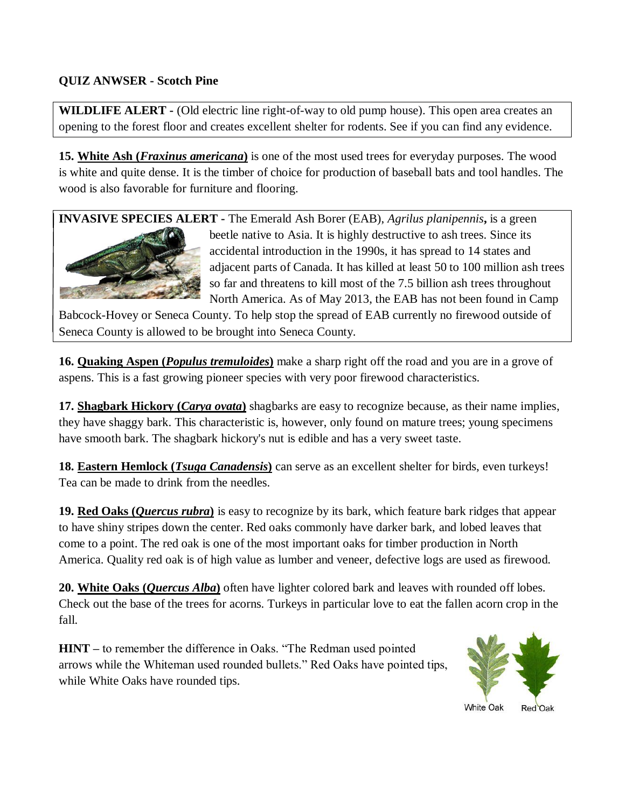## **QUIZ ANWSER - Scotch Pine**

**WILDLIFE ALERT -** (Old electric line right-of-way to old pump house). This open area creates an opening to the forest floor and creates excellent shelter for rodents. See if you can find any evidence.

**15. White Ash (***Fraxinus americana***)** is one of the most used trees for everyday purposes. The wood is white and quite dense. It is the timber of choice for production of baseball bats and tool handles. The wood is also favorable for furniture and flooring.

**INVASIVE SPECIES ALERT -** The Emerald Ash Borer (EAB), *Agrilus planipennis***,** is a green



beetle native to Asia. It is highly destructive to ash trees. Since its accidental introduction in the 1990s, it has spread to 14 states and adjacent parts of Canada. It has killed at least 50 to 100 million ash trees so far and threatens to kill most of the 7.5 billion ash trees throughout North America. As of May 2013, the EAB has not been found in Camp

Babcock-Hovey or Seneca County. To help stop the spread of EAB currently no firewood outside of Seneca County is allowed to be brought into Seneca County.

**16. Quaking Aspen (***Populus tremuloides***)** make a sharp right off the road and you are in a grove of aspens. This is a fast growing pioneer species with very poor firewood characteristics.

**17. Shagbark Hickory (***Carya ovata***)** shagbarks are easy to recognize because, as their name implies, they have shaggy bark. This characteristic is, however, only found on mature trees; young specimens have smooth bark. The shagbark hickory's nut is edible and has a very sweet taste.

**18. Eastern Hemlock (***Tsuga Canadensis***)** can serve as an excellent shelter for birds, even turkeys! Tea can be made to drink from the needles.

**19. Red Oaks (***Quercus rubra***)** is easy to recognize by its bark, which feature bark ridges that appear to have shiny stripes down the center. Red oaks commonly have darker bark, and lobed leaves that come to a point. The red oak is one of the most important oaks for timber production in North America. Quality red oak is of high value as lumber and veneer, defective logs are used as firewood.

**20. White Oaks (***Quercus Alba***)** often have lighter colored bark and leaves with rounded off lobes. Check out the base of the trees for acorns. Turkeys in particular love to eat the fallen acorn crop in the fall.

**HINT –** to remember the difference in Oaks. "The Redman used pointed arrows while the Whiteman used rounded bullets." Red Oaks have pointed tips, while White Oaks have rounded tips.